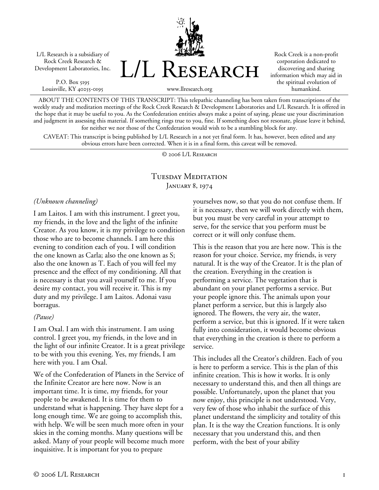L/L Research is a subsidiary of Rock Creek Research & Development Laboratories, Inc.

P.O. Box 5195 Louisville, KY 40255-0195 L/L Research

Rock Creek is a non-profit corporation dedicated to discovering and sharing information which may aid in the spiritual evolution of humankind.

www.llresearch.org

ABOUT THE CONTENTS OF THIS TRANSCRIPT: This telepathic channeling has been taken from transcriptions of the weekly study and meditation meetings of the Rock Creek Research & Development Laboratories and L/L Research. It is offered in the hope that it may be useful to you. As the Confederation entities always make a point of saying, please use your discrimination and judgment in assessing this material. If something rings true to you, fine. If something does not resonate, please leave it behind, for neither we nor those of the Confederation would wish to be a stumbling block for any.

CAVEAT: This transcript is being published by L/L Research in a not yet final form. It has, however, been edited and any obvious errors have been corrected. When it is in a final form, this caveat will be removed.

© 2006 L/L Research

## Tuesday Meditation JANUARY 8, 1974

*(Unknown channeling)* 

I am Laitos. I am with this instrument. I greet you, my friends, in the love and the light of the infinite Creator. As you know, it is my privilege to condition those who are to become channels. I am here this evening to condition each of you. I will condition the one known as Carla; also the one known as S; also the one known as T. Each of you will feel my presence and the effect of my conditioning. All that is necessary is that you avail yourself to me. If you desire my contact, you will receive it. This is my duty and my privilege. I am Laitos. Adonai vasu borragus.

## *(Pause)*

I am Oxal. I am with this instrument. I am using control. I greet you, my friends, in the love and in the light of our infinite Creator. It is a great privilege to be with you this evening. Yes, my friends, I am here with you. I am Oxal.

We of the Confederation of Planets in the Service of the Infinite Creator are here now. Now is an important time. It is time, my friends, for your people to be awakened. It is time for them to understand what is happening. They have slept for a long enough time. We are going to accomplish this, with help. We will be seen much more often in your skies in the coming months. Many questions will be asked. Many of your people will become much more inquisitive. It is important for you to prepare

yourselves now, so that you do not confuse them. If it is necessary, then we will work directly with them, but you must be very careful in your attempt to serve, for the service that you perform must be correct or it will only confuse them.

This is the reason that you are here now. This is the reason for your choice. Service, my friends, is very natural. It is the way of the Creator. It is the plan of the creation. Everything in the creation is performing a service. The vegetation that is abundant on your planet performs a service. But your people ignore this. The animals upon your planet perform a service, but this is largely also ignored. The flowers, the very air, the water, perform a service, but this is ignored. If it were taken fully into consideration, it would become obvious that everything in the creation is there to perform a service.

This includes all the Creator's children. Each of you is here to perform a service. This is the plan of this infinite creation. This is how it works. It is only necessary to understand this, and then all things are possible. Unfortunately, upon the planet that you now enjoy, this principle is not understood. Very, very few of those who inhabit the surface of this planet understand the simplicity and totality of this plan. It is the way the Creation functions. It is only necessary that you understand this, and then perform, with the best of your ability